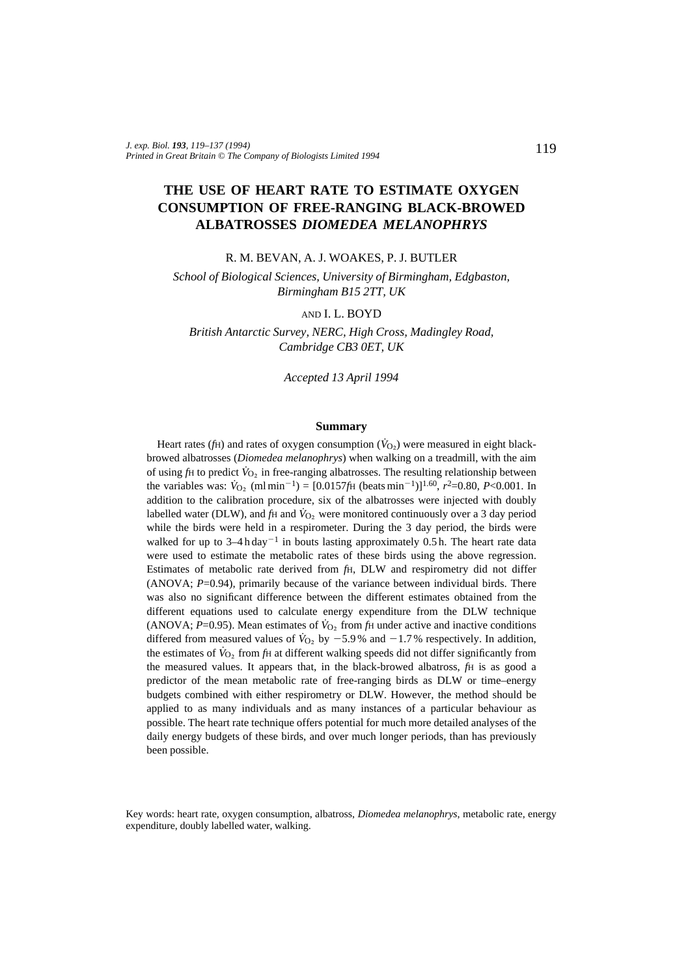# **THE USE OF HEART RATE TO ESTIMATE OXYGEN CONSUMPTION OF FREE-RANGING BLACK-BROWED ALBATROSSES** *DIOMEDEA MELANOPHRYS*

R. M. BEVAN, A. J. WOAKES, P. J. BUTLER

*School of Biological Sciences, University of Birmingham, Edgbaston, Birmingham B15 2TT, UK*

### AND I. L. BOYD

*British Antarctic Survey, NERC, High Cross, Madingley Road, Cambridge CB3 0ET, UK*

*Accepted 13 April 1994*

### **Summary**

Heart rates ( $f$ H) and rates of oxygen consumption ( $\dot{V}_{O<sub>2</sub>}$ ) were measured in eight blackbrowed albatrosses (*Diomedea melanophrys*) when walking on a treadmill, with the aim of using  $f$ H to predict  $\dot{V}_{\text{O}_2}$  in free-ranging albatrosses. The resulting relationship between the variables was:  $\dot{V}_{\text{O}_2}$  (ml min<sup>-1</sup>) = [0.0157*f*H (beats min<sup>-1</sup>)]<sup>1.60</sup>, *r*<sup>2</sup>=0.80, *P*<0.001. In addition to the calibration procedure, six of the albatrosses were injected with doubly labelled water (DLW), and  $f$ H and  $\dot{V}_{O_2}$  were monitored continuously over a 3 day period while the birds were held in a respirometer. During the 3 day period, the birds were walked for up to  $3-4h \, day^{-1}$  in bouts lasting approximately 0.5 h. The heart rate data were used to estimate the metabolic rates of these birds using the above regression. Estimates of metabolic rate derived from *f*H, DLW and respirometry did not differ (ANOVA; *P*=0.94), primarily because of the variance between individual birds. There was also no significant difference between the different estimates obtained from the different equations used to calculate energy expenditure from the DLW technique (ANOVA;  $P=0.95$ ). Mean estimates of  $\dot{V}_{O_2}$  from  $f_H$  under active and inactive conditions differed from measured values of  $\dot{V}_{O_2}$  by  $-5.9\%$  and  $-1.7\%$  respectively. In addition, the estimates of  $\dot{V}_{O_2}$  from  $f_H$  at different walking speeds did not differ significantly from the measured values. It appears that, in the black-browed albatross, *f*H is as good a predictor of the mean metabolic rate of free-ranging birds as DLW or time–energy budgets combined with either respirometry or DLW. However, the method should be applied to as many individuals and as many instances of a particular behaviour as possible. The heart rate technique offers potential for much more detailed analyses of the daily energy budgets of these birds, and over much longer periods, than has previously been possible.

Key words: heart rate, oxygen consumption, albatross, *Diomedea melanophrys*, metabolic rate, energy expenditure, doubly labelled water, walking.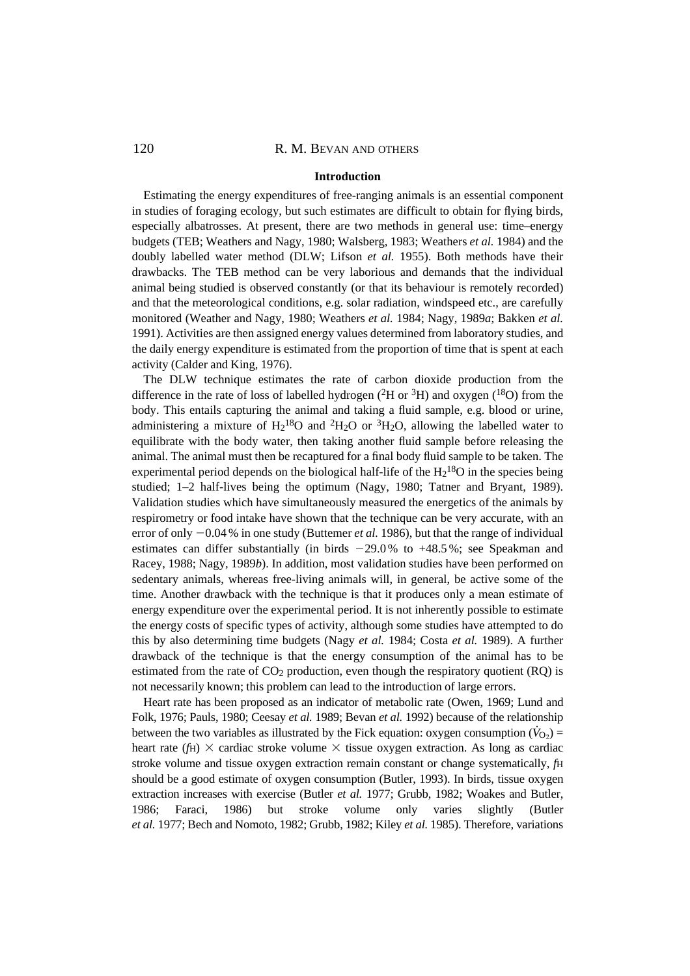#### **Introduction**

Estimating the energy expenditures of free-ranging animals is an essential component in studies of foraging ecology, but such estimates are difficult to obtain for flying birds, especially albatrosses. At present, there are two methods in general use: time–energy budgets (TEB; Weathers and Nagy, 1980; Walsberg, 1983; Weathers *et al.* 1984) and the doubly labelled water method (DLW; Lifson *et al.* 1955). Both methods have their drawbacks. The TEB method can be very laborious and demands that the individual animal being studied is observed constantly (or that its behaviour is remotely recorded) and that the meteorological conditions, e.g. solar radiation, windspeed etc., are carefully monitored (Weather and Nagy, 1980; Weathers *et al.* 1984; Nagy, 1989*a*; Bakken *et al.* 1991). Activities are then assigned energy values determined from laboratory studies, and the daily energy expenditure is estimated from the proportion of time that is spent at each activity (Calder and King, 1976).

The DLW technique estimates the rate of carbon dioxide production from the difference in the rate of loss of labelled hydrogen ( ${}^{2}$ H or  ${}^{3}$ H) and oxygen ( ${}^{18}$ O) from the body. This entails capturing the animal and taking a fluid sample, e.g. blood or urine, administering a mixture of  $H_2^{18}O$  and <sup>2</sup>H<sub>2</sub>O or <sup>3</sup>H<sub>2</sub>O, allowing the labelled water to equilibrate with the body water, then taking another fluid sample before releasing the animal. The animal must then be recaptured for a final body fluid sample to be taken. The experimental period depends on the biological half-life of the  $H_2^{18}O$  in the species being studied; 1–2 half-lives being the optimum (Nagy, 1980; Tatner and Bryant, 1989). Validation studies which have simultaneously measured the energetics of the animals by respirometry or food intake have shown that the technique can be very accurate, with an error of only  $-0.04$  % in one study (Buttemer *et al.* 1986), but that the range of individual estimates can differ substantially (in birds  $-29.0\%$  to  $+48.5\%$ ; see Speakman and Racey, 1988; Nagy, 1989*b*). In addition, most validation studies have been performed on sedentary animals, whereas free-living animals will, in general, be active some of the time. Another drawback with the technique is that it produces only a mean estimate of energy expenditure over the experimental period. It is not inherently possible to estimate the energy costs of specific types of activity, although some studies have attempted to do this by also determining time budgets (Nagy *et al.* 1984; Costa *et al.* 1989). A further drawback of the technique is that the energy consumption of the animal has to be estimated from the rate of  $CO<sub>2</sub>$  production, even though the respiratory quotient (RQ) is not necessarily known; this problem can lead to the introduction of large errors.

Heart rate has been proposed as an indicator of metabolic rate (Owen, 1969; Lund and Folk, 1976; Pauls, 1980; Ceesay *et al.* 1989; Bevan *et al.* 1992) because of the relationship between the two variables as illustrated by the Fick equation: oxygen consumption ( $\hat{V}_{\Omega}$ ) = heart rate ( $f_H$ )  $\times$  cardiac stroke volume  $\times$  tissue oxygen extraction. As long as cardiac stroke volume and tissue oxygen extraction remain constant or change systematically, *f*H should be a good estimate of oxygen consumption (Butler, 1993). In birds, tissue oxygen extraction increases with exercise (Butler *et al.* 1977; Grubb, 1982; Woakes and Butler, 1986; Faraci, 1986) but stroke volume only varies slightly (Butler *et al.* 1977; Bech and Nomoto, 1982; Grubb, 1982; Kiley *et al.* 1985). Therefore, variations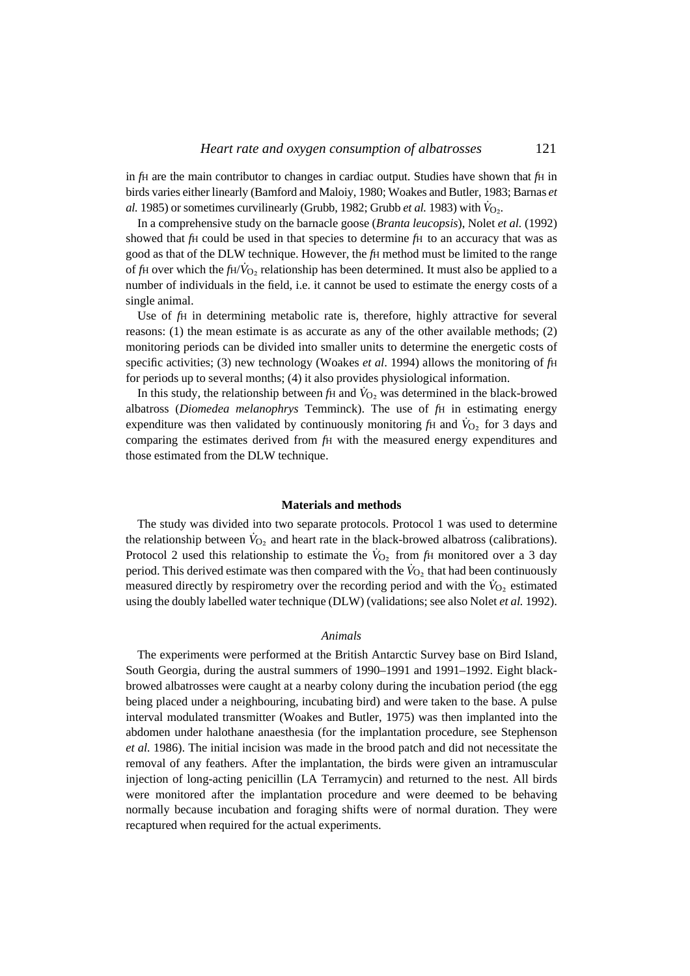in *fH* are the main contributor to changes in cardiac output. Studies have shown that *fH* in birds varies either linearly (Bamford and Maloiy, 1980; Woakes and Butler, 1983; Barnas *et al.* 1985) or sometimes curvilinearly (Grubb, 1982; Grubb *et al.* 1983) with  $\dot{V}_{O_2}$ .

In a comprehensive study on the barnacle goose (*Branta leucopsis*), Nolet *et al.* (1992) showed that *f*H could be used in that species to determine *f*H to an accuracy that was as good as that of the DLW technique. However, the *f*H method must be limited to the range of *f*H over which the *fH*/ $\dot{V}_{\text{O}}$ , relationship has been determined. It must also be applied to a number of individuals in the field, i.e. it cannot be used to estimate the energy costs of a single animal.

Use of *f*H in determining metabolic rate is, therefore, highly attractive for several reasons: (1) the mean estimate is as accurate as any of the other available methods; (2) monitoring periods can be divided into smaller units to determine the energetic costs of specific activities; (3) new technology (Woakes *et al*. 1994) allows the monitoring of *f*H for periods up to several months; (4) it also provides physiological information.

In this study, the relationship between  $f_H$  and  $\dot{V}_{O_2}$  was determined in the black-browed albatross (*Diomedea melanophrys* Temminck). The use of *f*H in estimating energy expenditure was then validated by continuously monitoring  $f<sup>H</sup>$  and  $\dot{V}<sub>O</sub>$ , for 3 days and comparing the estimates derived from *f*H with the measured energy expenditures and those estimated from the DLW technique.

### **Materials and methods**

The study was divided into two separate protocols. Protocol 1 was used to determine the relationship between  $V_O$ , and heart rate in the black-browed albatross (calibrations). Protocol 2 used this relationship to estimate the  $\dot{V}_{O_2}$  from  $f_H$  monitored over a 3 day period. This derived estimate was then compared with the  $\dot{V}_{O_2}$  that had been continuously measured directly by respirometry over the recording period and with the  $V_{\text{O}_2}$  estimated using the doubly labelled water technique (DLW) (validations; see also Nolet *et al.* 1992).

#### *Animals*

The experiments were performed at the British Antarctic Survey base on Bird Island, South Georgia, during the austral summers of 1990–1991 and 1991–1992. Eight blackbrowed albatrosses were caught at a nearby colony during the incubation period (the egg being placed under a neighbouring, incubating bird) and were taken to the base. A pulse interval modulated transmitter (Woakes and Butler, 1975) was then implanted into the abdomen under halothane anaesthesia (for the implantation procedure, see Stephenson *et al.* 1986). The initial incision was made in the brood patch and did not necessitate the removal of any feathers. After the implantation, the birds were given an intramuscular injection of long-acting penicillin (LA Terramycin) and returned to the nest. All birds were monitored after the implantation procedure and were deemed to be behaving normally because incubation and foraging shifts were of normal duration. They were recaptured when required for the actual experiments.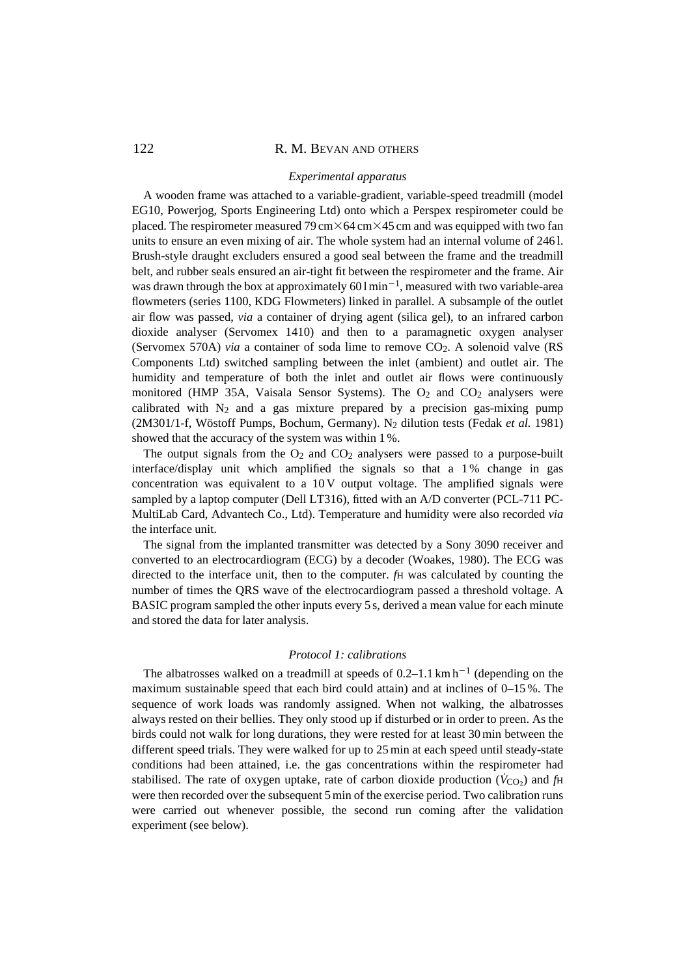#### *Experimental apparatus*

A wooden frame was attached to a variable-gradient, variable-speed treadmill (model EG10, Powerjog, Sports Engineering Ltd) onto which a Perspex respirometer could be placed. The respirometer measured 79 cm $\times$ 64 cm $\times$ 45 cm and was equipped with two fan units to ensure an even mixing of air. The whole system had an internal volume of 246 l. Brush-style draught excluders ensured a good seal between the frame and the treadmill belt, and rubber seals ensured an air-tight fit between the respirometer and the frame. Air was drawn through the box at approximately  $601 \text{min}^{-1}$ , measured with two variable-area flowmeters (series 1100, KDG Flowmeters) linked in parallel. A subsample of the outlet air flow was passed, *via* a container of drying agent (silica gel), to an infrared carbon dioxide analyser (Servomex 1410) and then to a paramagnetic oxygen analyser (Servomex 570A) *via* a container of soda lime to remove CO2. A solenoid valve (RS Components Ltd) switched sampling between the inlet (ambient) and outlet air. The humidity and temperature of both the inlet and outlet air flows were continuously monitored (HMP 35A, Vaisala Sensor Systems). The  $O<sub>2</sub>$  and  $CO<sub>2</sub>$  analysers were calibrated with  $N_2$  and a gas mixture prepared by a precision gas-mixing pump (2M301/1-f, Wöstoff Pumps, Bochum, Germany). N2 dilution tests (Fedak *et al.* 1981) showed that the accuracy of the system was within 1 %.

The output signals from the  $O_2$  and  $CO_2$  analysers were passed to a purpose-built interface/display unit which amplified the signals so that a  $1\%$  change in gas concentration was equivalent to a  $10 \text{V}$  output voltage. The amplified signals were sampled by a laptop computer (Dell LT316), fitted with an A/D converter (PCL-711 PC-MultiLab Card, Advantech Co., Ltd). Temperature and humidity were also recorded *via* the interface unit.

The signal from the implanted transmitter was detected by a Sony 3090 receiver and converted to an electrocardiogram (ECG) by a decoder (Woakes, 1980). The ECG was directed to the interface unit, then to the computer. *f*H was calculated by counting the number of times the QRS wave of the electrocardiogram passed a threshold voltage. A BASIC program sampled the other inputs every 5 s, derived a mean value for each minute and stored the data for later analysis.

### *Protocol 1: calibrations*

The albatrosses walked on a treadmill at speeds of  $0.2-1.1 \text{ km h}^{-1}$  (depending on the maximum sustainable speed that each bird could attain) and at inclines of 0–15 %. The sequence of work loads was randomly assigned. When not walking, the albatrosses always rested on their bellies. They only stood up if disturbed or in order to preen. As the birds could not walk for long durations, they were rested for at least 30 min between the different speed trials. They were walked for up to 25 min at each speed until steady-state conditions had been attained, i.e. the gas concentrations within the respirometer had stabilised. The rate of oxygen uptake, rate of carbon dioxide production ( $\dot{V}_{CO<sub>2</sub>}$ ) and  $f_{\rm H}$ were then recorded over the subsequent 5 min of the exercise period. Two calibration runs were carried out whenever possible, the second run coming after the validation experiment (see below).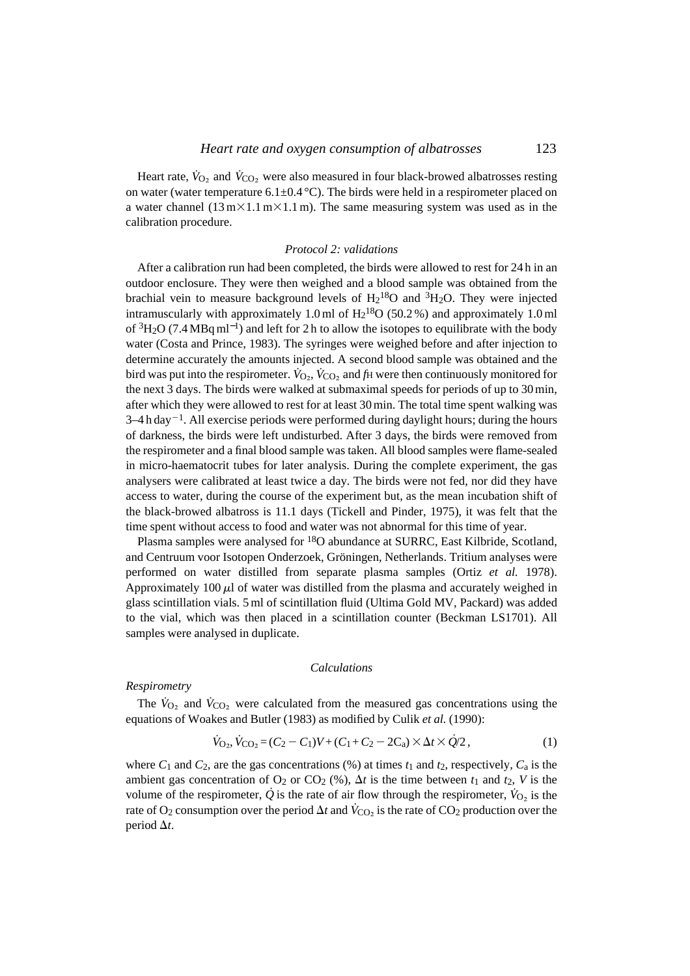Heart rate,  $\dot{V}_{\rm O}$ , and  $\dot{V}_{\rm CO}$ , were also measured in four black-browed albatrosses resting on water (water temperature 6.1 $\pm$ 0.4 °C). The birds were held in a respirometer placed on a water channel  $(13 \text{ m} \times 1.1 \text{ m} \times 1.1 \text{ m})$ . The same measuring system was used as in the calibration procedure.

### *Protocol 2: validations*

After a calibration run had been completed, the birds were allowed to rest for 24 h in an outdoor enclosure. They were then weighed and a blood sample was obtained from the brachial vein to measure background levels of  $H_2^{18}O$  and  ${}^3H_2O$ . They were injected intramuscularly with approximately 1.0 ml of  $H_2^{18}O$  (50.2 %) and approximately 1.0 ml of  $3H_2O$  (7.4 MBq ml<sup>-1</sup>) and left for 2 h to allow the isotopes to equilibrate with the body water (Costa and Prince, 1983). The syringes were weighed before and after injection to determine accurately the amounts injected. A second blood sample was obtained and the bird was put into the respirometer.  $\dot{V}_{\Omega_2}$ ,  $\dot{V}_{\Omega_2}$  and  $\dot{f}_\Pi$  were then continuously monitored for the next 3 days. The birds were walked at submaximal speeds for periods of up to 30 min, after which they were allowed to rest for at least 30 min. The total time spent walking was  $3-4$  h day<sup>-1</sup>. All exercise periods were performed during daylight hours; during the hours of darkness, the birds were left undisturbed. After 3 days, the birds were removed from the respirometer and a final blood sample was taken. All blood samples were flame-sealed in micro-haematocrit tubes for later analysis. During the complete experiment, the gas analysers were calibrated at least twice a day. The birds were not fed, nor did they have access to water, during the course of the experiment but, as the mean incubation shift of the black-browed albatross is 11.1 days (Tickell and Pinder, 1975), it was felt that the time spent without access to food and water was not abnormal for this time of year.

Plasma samples were analysed for <sup>18</sup>O abundance at SURRC, East Kilbride, Scotland, and Centruum voor Isotopen Onderzoek, Gröningen, Netherlands. Tritium analyses were performed on water distilled from separate plasma samples (Ortiz *et al.* 1978). Approximately  $100 \mu l$  of water was distilled from the plasma and accurately weighed in glass scintillation vials. 5 ml of scintillation fluid (Ultima Gold MV, Packard) was added to the vial, which was then placed in a scintillation counter (Beckman LS1701). All samples were analysed in duplicate.

### *Calculations*

#### *Respirometry*

The  $\dot{V}_{\text{O}_2}$  and  $\dot{V}_{\text{CO}_2}$  were calculated from the measured gas concentrations using the equations of Woakes and Butler (1983) as modified by Culik *et al.* (1990):

$$
\dot{V}_{\text{O}_2}, \dot{V}_{\text{CO}_2} = (C_2 - C_1)V + (C_1 + C_2 - 2C_a) \times \Delta t \times \dot{Q}/2, \tag{1}
$$

where  $C_1$  and  $C_2$ , are the gas concentrations (%) at times  $t_1$  and  $t_2$ , respectively,  $C_a$  is the ambient gas concentration of  $O_2$  or  $CO_2$  (%),  $\Delta t$  is the time between  $t_1$  and  $t_2$ , V is the volume of the respirometer,  $\dot{Q}$  is the rate of air flow through the respirometer,  $\dot{V}_{Q_2}$  is the rate of O<sub>2</sub> consumption over the period  $\Delta t$  and  $\dot{V}_{\rm CO_2}$  is the rate of CO<sub>2</sub> production over the period  $\Delta t$ .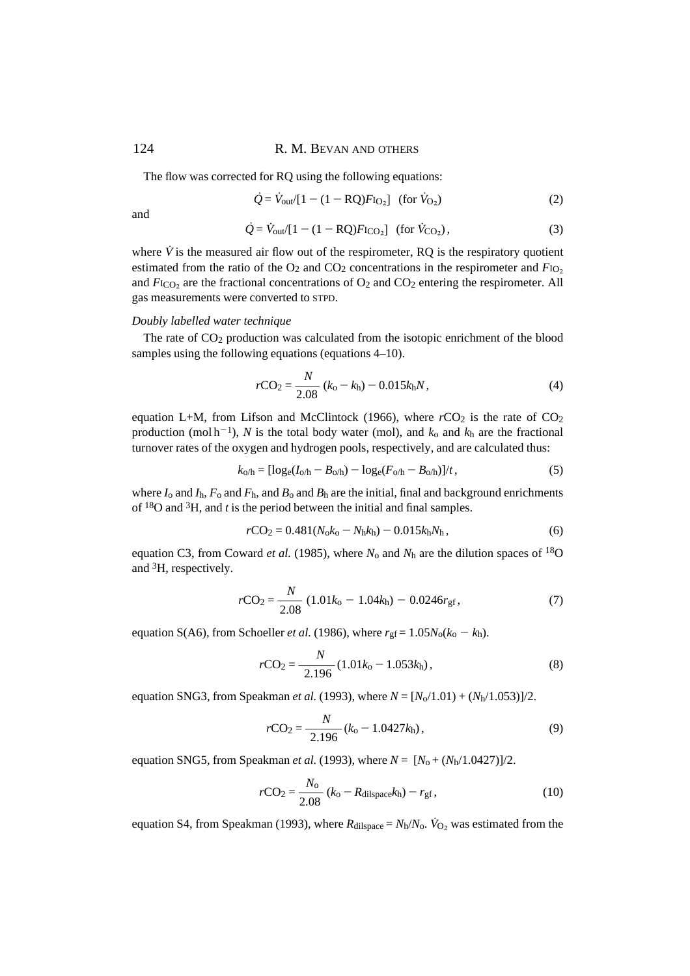The flow was corrected for RQ using the following equations:

$$
\dot{Q} = \dot{V}_{\text{out}}/[1 - (1 - \text{RQ})F_{\text{IQ}_2}] \quad \text{(for } \dot{V}_{\text{Q}_2)}\tag{2}
$$

and

$$
\dot{Q} = \dot{V}_{out} / [1 - (1 - RQ)F_{ICO_2}] \text{ (for } \dot{V}_{CO_2}), \tag{3}
$$

where  $\dot{V}$  is the measured air flow out of the respirometer, RQ is the respiratory quotient estimated from the ratio of the  $O_2$  and  $CO_2$  concentrations in the respirometer and  $F_{1O_2}$ and  $F_{\text{ICO}_2}$  are the fractional concentrations of  $\text{O}_2$  and  $\text{CO}_2$  entering the respirometer. All gas measurements were converted to STPD.

#### *Doubly labelled water technique*

The rate of CO2 production was calculated from the isotopic enrichment of the blood samples using the following equations (equations 4–10).

$$
r\text{CO}_2 = \frac{N}{2.08} (k_o - k_h) - 0.015 k_h N, \qquad (4)
$$

equation L+M, from Lifson and McClintock (1966), where  $rCO_2$  is the rate of  $CO_2$ production (mol  $h^{-1}$ ), *N* is the total body water (mol), and  $k_0$  and  $k_h$  are the fractional turnover rates of the oxygen and hydrogen pools, respectively, and are calculated thus:

$$
k_{0/h} = [\log_e(I_{0/h} - B_{0/h}) - \log_e(F_{0/h} - B_{0/h})]/t, \qquad (5)
$$

where  $I_0$  and  $I_h$ ,  $F_0$  and  $F_h$ , and  $B_0$  and  $B_h$  are the initial, final and background enrichments of 18O and 3H, and *t* is the period between the initial and final samples.

$$
r\text{CO}_2 = 0.481(N_0k_0 - N_hk_h) - 0.015k_hN_h,
$$
\n(6)

equation C3, from Coward *et al.* (1985), where  $N_0$  and  $N_h$  are the dilution spaces of <sup>18</sup>O and 3H, respectively.

$$
r\text{CO}_2 = \frac{N}{2.08} \ (1.01k_0 - 1.04k_0) - 0.0246r_{\text{gf}},\tag{7}
$$

equation S(A6), from Schoeller *et al.* (1986), where  $r_{gf} = 1.05N_0(k_0 - k_h)$ .

$$
r\text{CO}_2 = \frac{N}{2.196} (1.01k_0 - 1.053k_\text{h}),\tag{8}
$$

equation SNG3, from Speakman *et al.* (1993), where  $N = [N_0/1.01) + (N_0/1.053)/2$ .

$$
r\text{CO}_2 = \frac{N}{2.196} (k_0 - 1.0427 k_\text{h}),\tag{9}
$$

equation SNG5, from Speakman *et al.* (1993), where  $N = [N_0 + (N_0/1.0427)]/2$ .

$$
r\text{CO}_2 = \frac{N_0}{2.08} (k_0 - R_{\text{dilspace}}k_{\text{h}}) - r_{\text{gf}},
$$
\n(10)

equation S4, from Speakman (1993), where  $R_{\text{dilspace}} = N_{\text{h}}/N_{\text{o}}$ .  $\dot{V}_{\text{O}_2}$  was estimated from the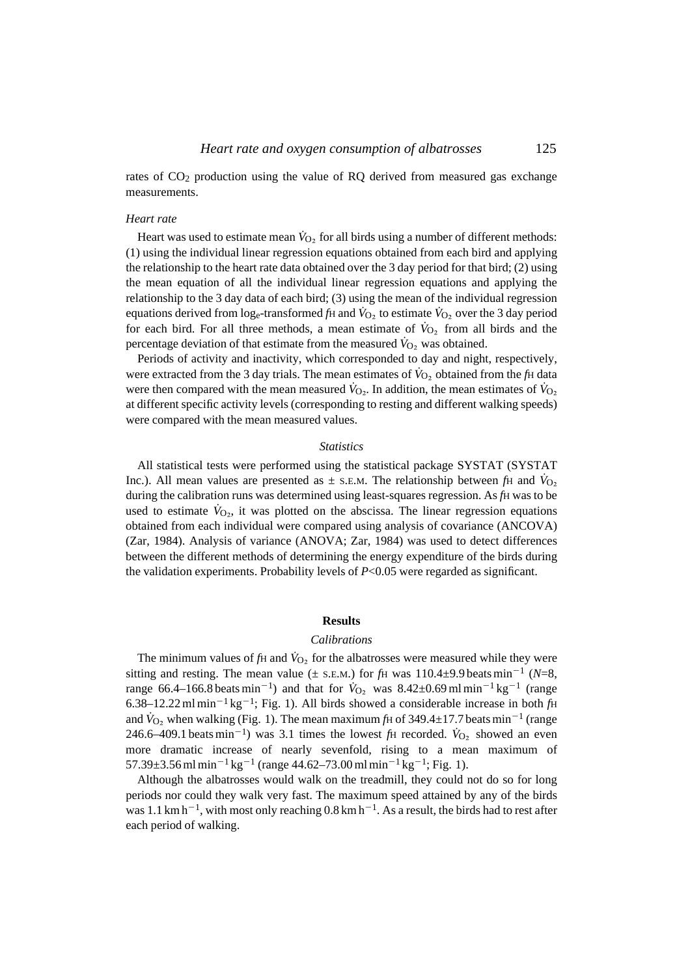rates of  $CO<sub>2</sub>$  production using the value of RQ derived from measured gas exchange measurements.

#### *Heart rate*

Heart was used to estimate mean  $\dot{V}_{O_2}$  for all birds using a number of different methods: (1) using the individual linear regression equations obtained from each bird and applying the relationship to the heart rate data obtained over the 3 day period for that bird; (2) using the mean equation of all the individual linear regression equations and applying the relationship to the 3 day data of each bird; (3) using the mean of the individual regression equations derived from log<sub>e</sub>-transformed  $f_H$  and  $\dot{V}_{O_2}$  to estimate  $\dot{V}_{O_2}$  over the 3 day period for each bird. For all three methods, a mean estimate of  $V_{\text{O}_2}$  from all birds and the percentage deviation of that estimate from the measured  $\dot{V}_{\text{O}}$ , was obtained.

Periods of activity and inactivity, which corresponded to day and night, respectively, were extracted from the 3 day trials. The mean estimates of  $\dot{V}_{\text{O}_2}$  obtained from the *f*H data were then compared with the mean measured  $\dot{V}_{\text{O}_2}$ . In addition, the mean estimates of  $\dot{V}_{\text{O}_2}$ at different specific activity levels (corresponding to resting and different walking speeds) were compared with the mean measured values.

#### *Statistics*

All statistical tests were performed using the statistical package SYSTAT (SYSTAT Inc.). All mean values are presented as  $\pm$  s.e.m. The relationship between *fH* and  $\dot{V}_{\text{O}}$ , during the calibration runs was determined using least-squares regression. As *fH* was to be used to estimate  $\dot{V}_{O_2}$ , it was plotted on the abscissa. The linear regression equations obtained from each individual were compared using analysis of covariance (ANCOVA) (Zar, 1984). Analysis of variance (ANOVA; Zar, 1984) was used to detect differences between the different methods of determining the energy expenditure of the birds during the validation experiments. Probability levels of  $P<0.05$  were regarded as significant.

#### **Results**

### *Calibrations*

The minimum values of  $fH$  and  $\dot{V}_{O_2}$  for the albatrosses were measured while they were sitting and resting. The mean value ( $\pm$  s.e.m.) for *f*H was 110.4 $\pm$ 9.9 beats min<sup>-1</sup> (*N*=8, range 66.4–166.8 beats min<sup>-1</sup>) and that for  $\dot{V}_{O_2}$  was 8.42±0.69 ml min<sup>-1</sup> kg<sup>-1</sup> (range 6.38–12.22 ml min<sup>-1</sup> kg<sup>-1</sup>; Fig. 1). All birds showed a considerable increase in both  $f$ H and  $\dot{V}_{\text{O}_2}$  when walking (Fig. 1). The mean maximum *f*H of 349.4±17.7 beats min<sup>-1</sup> (range 246.6–409.1 beats min<sup>-1</sup>) was 3.1 times the lowest *f*H recorded.  $\dot{V}_{O_2}$  showed an even more dramatic increase of nearly sevenfold, rising to a mean maximum of 57.39 $\pm$ 3.56 ml min<sup>-1</sup> kg<sup>-1</sup> (range 44.62–73.00 ml min<sup>-1</sup> kg<sup>-1</sup>; Fig. 1).

Although the albatrosses would walk on the treadmill, they could not do so for long periods nor could they walk very fast. The maximum speed attained by any of the birds was 1.1 km h<sup>-1</sup>, with most only reaching 0.8 km h<sup>-1</sup>. As a result, the birds had to rest after each period of walking.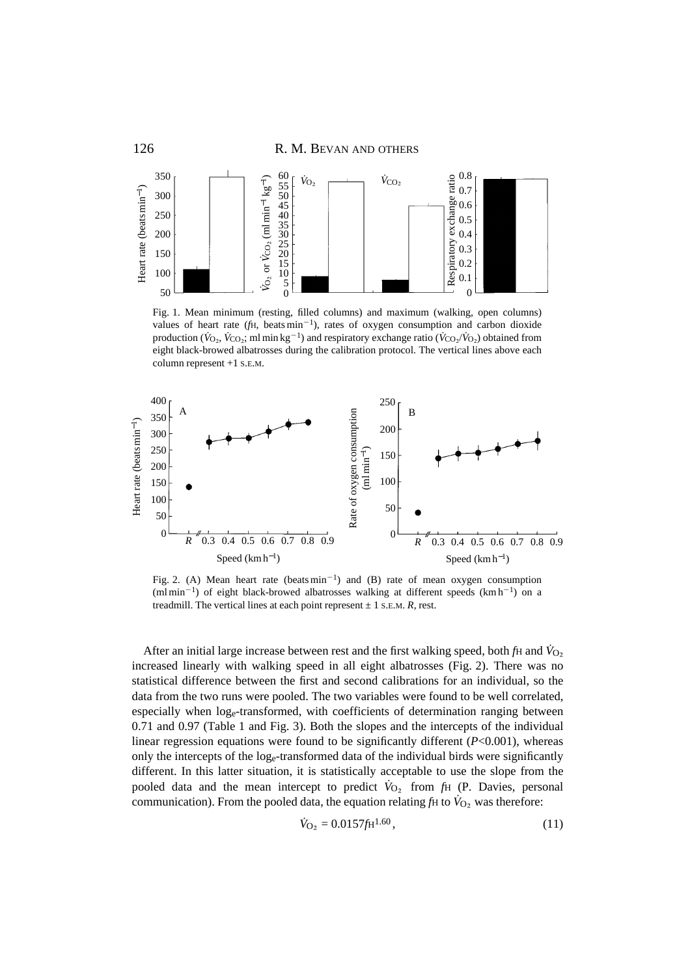

Fig. 1. Mean minimum (resting, filled columns) and maximum (walking, open columns) values of heart rate ( $f$ H, beats min<sup>-1</sup>), rates of oxygen consumption and carbon dioxide production ( $\dot{V}_{\rm O}$ ,  $\dot{V}_{\rm CO}$ ; ml min kg<sup>-1</sup>) and respiratory exchange ratio ( $\dot{V}_{\rm CO}$ ,  $\dot{V}_{\rm O}$ ) obtained from eight black-browed albatrosses during the calibration protocol. The vertical lines above each column represent +1 S.E.M.



Fig. 2. (A) Mean heart rate (beats  $min^{-1}$ ) and (B) rate of mean oxygen consumption  $(\text{ml min}^{-1})$  of eight black-browed albatrosses walking at different speeds  $(\text{km h}^{-1})$  on a treadmill. The vertical lines at each point represent  $\pm$  1 s.e.m. *R*, rest.

After an initial large increase between rest and the first walking speed, both *f*H and *V*<sup>O2</sup> increased linearly with walking speed in all eight albatrosses (Fig. 2). There was no statistical difference between the first and second calibrations for an individual, so the data from the two runs were pooled. The two variables were found to be well correlated, especially when loge-transformed, with coefficients of determination ranging between 0.71 and 0.97 (Table 1 and Fig. 3). Both the slopes and the intercepts of the individual linear regression equations were found to be significantly different (*P*<0.001), whereas only the intercepts of the loge-transformed data of the individual birds were significantly different. In this latter situation, it is statistically acceptable to use the slope from the pooled data and the mean intercept to predict  $\dot{V}_{O_2}$  from  $f_H$  (P. Davies, personal communication). From the pooled data, the equation relating  $f$ H to  $\dot{V}_{O_2}$  was therefore:

$$
\dot{V}_{\text{O}_2} = 0.0157 f \text{H}^{1.60},\tag{11}
$$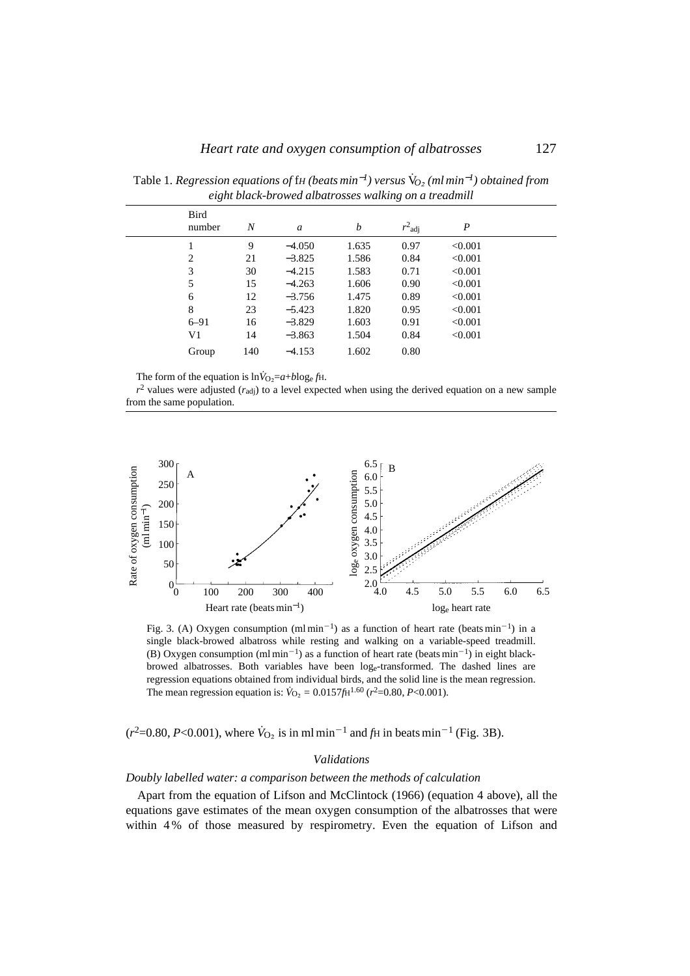| Bird<br>number | $\boldsymbol{N}$ | $\mathfrak a$ | b     | $r^2$ adj | P       |  |
|----------------|------------------|---------------|-------|-----------|---------|--|
|                | 9                | $-4.050$      | 1.635 | 0.97      | < 0.001 |  |
| $\overline{c}$ | 21               | $-3.825$      | 1.586 | 0.84      | < 0.001 |  |
| 3              | 30               | $-4.215$      | 1.583 | 0.71      | < 0.001 |  |
| 5              | 15               | $-4.263$      | 1.606 | 0.90      | < 0.001 |  |
| 6              | 12               | $-3.756$      | 1.475 | 0.89      | < 0.001 |  |
| 8              | 23               | $-5.423$      | 1.820 | 0.95      | < 0.001 |  |
| $6 - 91$       | 16               | $-3.829$      | 1.603 | 0.91      | < 0.001 |  |
| V1             | 14               | $-3.863$      | 1.504 | 0.84      | < 0.001 |  |
| Group          | 140              | $-4.153$      | 1.602 | 0.80      |         |  |

Table 1*. Regression equations of* f*<sup>H</sup> (beats min*−*1) versus* V*˙O*<sup>∑</sup> *(ml min*−*1) obtained from eight black-browed albatrosses walking on a treadmill*

The form of the equation is  $\ln \dot{V}_{\text{O}} = a + b \log_e f$ H.

 $r^2$  values were adjusted ( $r_{\text{adj}}$ ) to a level expected when using the derived equation on a new sample from the same population.



Fig. 3. (A) Oxygen consumption  $(ml \text{ min}^{-1})$  as a function of heart rate (beats min<sup>-1</sup>) in a single black-browed albatross while resting and walking on a variable-speed treadmill. (B) Oxygen consumption  $(\text{ml min}^{-1})$  as a function of heart rate (beats min<sup>-1</sup>) in eight blackbrowed albatrosses. Both variables have been loge-transformed. The dashed lines are regression equations obtained from individual birds, and the solid line is the mean regression. The mean regression equation is:  $\dot{V}_{\text{O}_2} = 0.0157 f H^{1.60} (r^2 = 0.80, P < 0.001)$ .

( $r^2$ =0.80, *P*<0.001), where  $\dot{V}_{O_2}$  is in ml min<sup>-1</sup> and  $f_H$  in beats min<sup>-1</sup> (Fig. 3B).

### *Validations*

### *Doubly labelled water: a comparison between the methods of calculation*

Apart from the equation of Lifson and McClintock (1966) (equation 4 above), all the equations gave estimates of the mean oxygen consumption of the albatrosses that were within 4 % of those measured by respirometry. Even the equation of Lifson and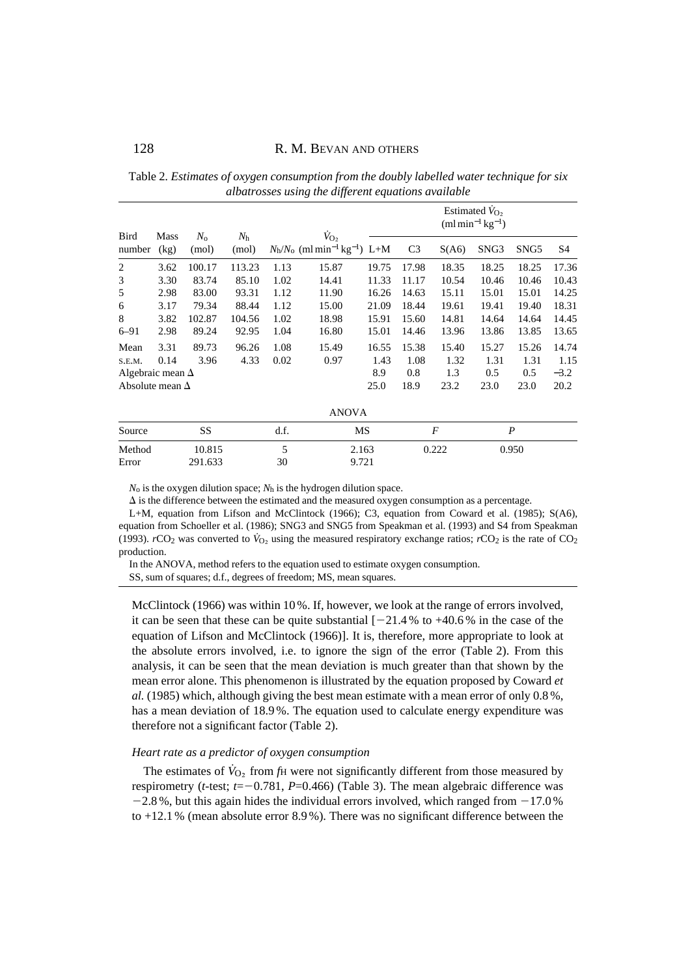Table 2*. Estimates of oxygen consumption from the doubly labelled water technique for six albatrosses using the different equations available*

|                         |                     |                      |                      |      |                                                                                      | Estimated $V_{O_2}$<br>$(ml \, min^{-1} \, kg^{-1})$ |                  |       |                  |       |                |
|-------------------------|---------------------|----------------------|----------------------|------|--------------------------------------------------------------------------------------|------------------------------------------------------|------------------|-------|------------------|-------|----------------|
| Bird<br>number          | <b>Mass</b><br>(kg) | $N_{\rm o}$<br>(mol) | $N_{\rm h}$<br>(mol) |      | $V_{\text{O}}$<br>$N_{\rm h}/N_{\rm o}$ (ml min <sup>-1</sup> kg <sup>-1</sup> ) L+M |                                                      | C <sub>3</sub>   | S(A6) | SNG <sub>3</sub> | SNG5  | S <sub>4</sub> |
| 2                       | 3.62                | 100.17               | 113.23               | 1.13 | 15.87                                                                                | 19.75                                                | 17.98            | 18.35 | 18.25            | 18.25 | 17.36          |
| 3                       | 3.30                | 83.74                | 85.10                | 1.02 | 14.41                                                                                | 11.33                                                | 11.17            | 10.54 | 10.46            | 10.46 | 10.43          |
| 5                       | 2.98                | 83.00                | 93.31                | 1.12 | 11.90                                                                                | 16.26                                                | 14.63            | 15.11 | 15.01            | 15.01 | 14.25          |
| 6                       | 3.17                | 79.34                | 88.44                | 1.12 | 15.00                                                                                | 21.09                                                | 18.44            | 19.61 | 19.41            | 19.40 | 18.31          |
| 8                       | 3.82                | 102.87               | 104.56               | 1.02 | 18.98                                                                                | 15.91                                                | 15.60            | 14.81 | 14.64            | 14.64 | 14.45          |
| $6 - 91$                | 2.98                | 89.24                | 92.95                | 1.04 | 16.80                                                                                | 15.01                                                | 14.46            | 13.96 | 13.86            | 13.85 | 13.65          |
| Mean                    | 3.31                | 89.73                | 96.26                | 1.08 | 15.49                                                                                | 16.55                                                | 15.38            | 15.40 | 15.27            | 15.26 | 14.74          |
| S.E.M.                  | 0.14                | 3.96                 | 4.33                 | 0.02 | 0.97                                                                                 | 1.43                                                 | 1.08             | 1.32  | 1.31             | 1.31  | 1.15           |
| Algebraic mean $\Delta$ |                     |                      |                      |      |                                                                                      | 8.9                                                  | 0.8              | 1.3   | 0.5              | 0.5   | $-3.2$         |
| Absolute mean $\Delta$  |                     |                      |                      | 25.0 | 18.9                                                                                 | 23.2                                                 | 23.0             | 23.0  | 20.2             |       |                |
|                         |                     |                      |                      |      | <b>ANOVA</b>                                                                         |                                                      |                  |       |                  |       |                |
| Source                  |                     | SS                   |                      | d.f. | MS                                                                                   |                                                      | $\boldsymbol{F}$ |       | $\boldsymbol{P}$ |       |                |
| Method                  |                     | 10.815               |                      | 5    | 2.163                                                                                |                                                      |                  | 0.222 |                  | 0.950 |                |

 $N_0$  is the oxygen dilution space;  $N_h$  is the hydrogen dilution space.

Error 291.633 30 9.721

 $\Delta$  is the difference between the estimated and the measured oxygen consumption as a percentage.

L+M, equation from Lifson and McClintock (1966); C3, equation from Coward et al. (1985); S(A6), equation from Schoeller et al. (1986); SNG3 and SNG5 from Speakman et al. (1993) and S4 from Speakman (1993). *r*CO<sub>2</sub> was converted to  $V_{O_2}$  using the measured respiratory exchange ratios; *r*CO<sub>2</sub> is the rate of CO<sub>2</sub> production.

In the ANOVA, method refers to the equation used to estimate oxygen consumption. SS, sum of squares; d.f., degrees of freedom; MS, mean squares.

McClintock (1966) was within 10%. If, however, we look at the range of errors involved, it can be seen that these can be quite substantial  $[-21.4 %$  to  $+40.6 %$  in the case of the equation of Lifson and McClintock (1966)]. It is, therefore, more appropriate to look at the absolute errors involved, i.e. to ignore the sign of the error (Table 2). From this analysis, it can be seen that the mean deviation is much greater than that shown by the mean error alone. This phenomenon is illustrated by the equation proposed by Coward *et al.* (1985) which, although giving the best mean estimate with a mean error of only 0.8 %, has a mean deviation of 18.9 %. The equation used to calculate energy expenditure was therefore not a significant factor (Table 2).

#### *Heart rate as a predictor of oxygen consumption*

The estimates of  $\dot{V}_{\text{O}_2}$  from *f*H were not significantly different from those measured by respirometry (*t*-test;  $t=-0.781$ ,  $P=0.466$ ) (Table 3). The mean algebraic difference was  $-2.8$ %, but this again hides the individual errors involved, which ranged from  $-17.0$ % to +12.1 % (mean absolute error 8.9 %). There was no significant difference between the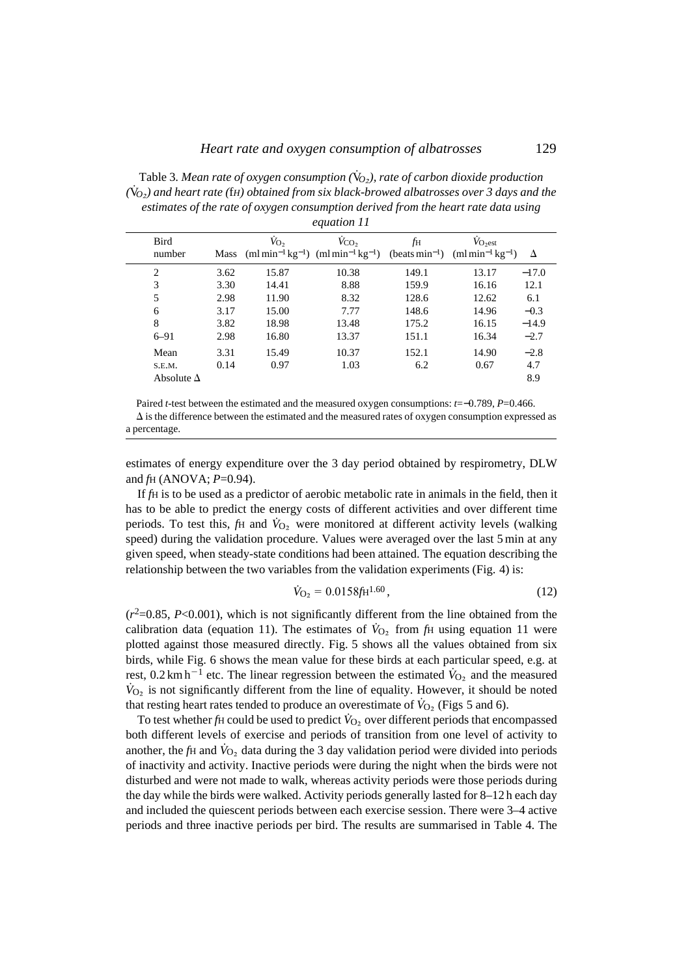Table 3*. Mean rate of oxygen consumption (*V*˙O*∑*), rate of carbon dioxide production (*V*˙O*∑*) and heart rate (*f*H) obtained from six black-browed albatrosses over 3 days and the estimates of the rate of oxygen consumption derived from the heart rate data using equation 11*

| Bird<br>number    |      | $V_{\text{O}_2}$ | $V_{\rm CO_2}$<br>Mass (ml min <sup>-1</sup> kg <sup>-1</sup> ) (ml min <sup>-1</sup> kg <sup>-1</sup> ) (beats min <sup>-1</sup> ) (ml min <sup>-1</sup> kg <sup>-1</sup> ) | fн    | $V_{O_2est}$ | Δ       |
|-------------------|------|------------------|------------------------------------------------------------------------------------------------------------------------------------------------------------------------------|-------|--------------|---------|
| $\overline{2}$    | 3.62 | 15.87            | 10.38                                                                                                                                                                        | 149.1 | 13.17        | $-17.0$ |
| 3                 | 3.30 | 14.41            | 8.88                                                                                                                                                                         | 159.9 | 16.16        | 12.1    |
| 5                 | 2.98 | 11.90            | 8.32                                                                                                                                                                         | 128.6 | 12.62        | 6.1     |
| 6                 | 3.17 | 15.00            | 7.77                                                                                                                                                                         | 148.6 | 14.96        | $-0.3$  |
| 8                 | 3.82 | 18.98            | 13.48                                                                                                                                                                        | 175.2 | 16.15        | $-14.9$ |
| $6 - 91$          | 2.98 | 16.80            | 13.37                                                                                                                                                                        | 151.1 | 16.34        | $-2.7$  |
| Mean              | 3.31 | 15.49            | 10.37                                                                                                                                                                        | 152.1 | 14.90        | $-2.8$  |
| S.E.M.            | 0.14 | 0.97             | 1.03                                                                                                                                                                         | 6.2   | 0.67         | 4.7     |
| Absolute $\Delta$ |      |                  |                                                                                                                                                                              |       |              | 8.9     |

Paired *t*-test between the estimated and the measured oxygen consumptions: *t*=−0.789, *P*=0.466.  $\Delta$  is the difference between the estimated and the measured rates of oxygen consumption expressed as a percentage.

estimates of energy expenditure over the 3 day period obtained by respirometry, DLW and *f*H (ANOVA; *P*=0.94).

If *f*H is to be used as a predictor of aerobic metabolic rate in animals in the field, then it has to be able to predict the energy costs of different activities and over different time periods. To test this,  $f_H$  and  $\dot{V}_{O_2}$  were monitored at different activity levels (walking speed) during the validation procedure. Values were averaged over the last 5 min at any given speed, when steady-state conditions had been attained. The equation describing the relationship between the two variables from the validation experiments (Fig. 4) is:

$$
\dot{V}_{\text{O}_2} = 0.0158 f \text{H}^{1.60},\tag{12}
$$

 $(r^2=0.85, P<0.001)$ , which is not significantly different from the line obtained from the calibration data (equation 11). The estimates of  $V_{\text{O}}$ , from  $f_{\text{H}}$  using equation 11 were plotted against those measured directly. Fig. 5 shows all the values obtained from six birds, while Fig. 6 shows the mean value for these birds at each particular speed, e.g. at rest,  $0.2 \text{ km h}^{-1}$  etc. The linear regression between the estimated  $\dot{V}_{\text{O}_2}$  and the measured  $\dot{V}_{O_2}$  is not significantly different from the line of equality. However, it should be noted that resting heart rates tended to produce an overestimate of  $\dot{V}_{O_2}$  (Figs 5 and 6).

To test whether *f*H could be used to predict  $\dot{V}_{\text{O}}$ , over different periods that encompassed both different levels of exercise and periods of transition from one level of activity to another, the  $f$ H and  $\dot{V}_{O_2}$  data during the 3 day validation period were divided into periods of inactivity and activity. Inactive periods were during the night when the birds were not disturbed and were not made to walk, whereas activity periods were those periods during the day while the birds were walked. Activity periods generally lasted for 8–12 h each day and included the quiescent periods between each exercise session. There were 3–4 active periods and three inactive periods per bird. The results are summarised in Table 4. The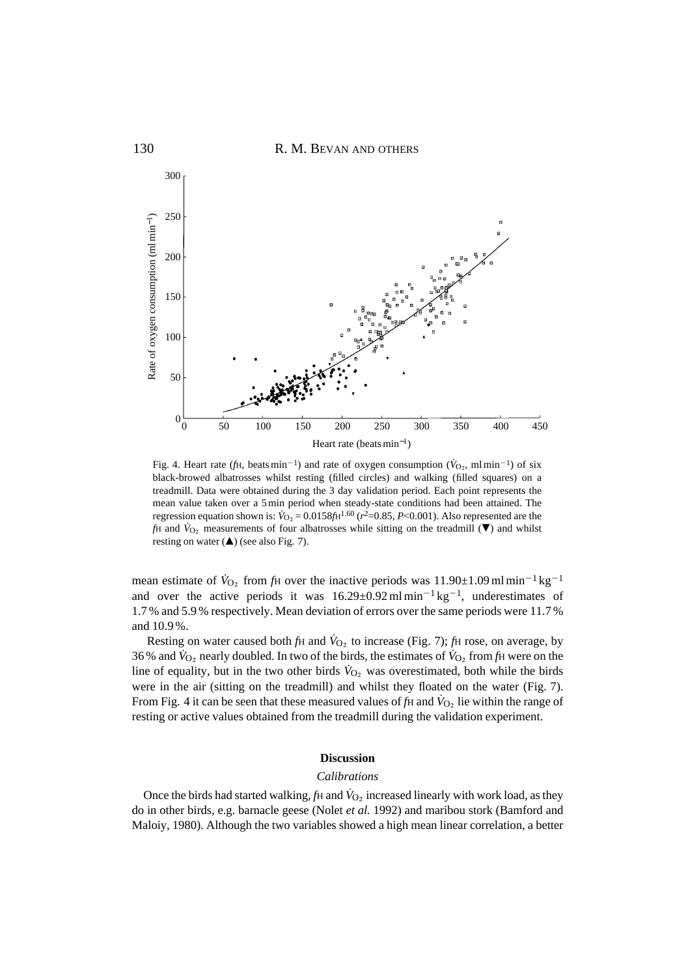

Fig. 4. Heart rate (*f*H, beats min<sup>-1</sup>) and rate of oxygen consumption ( $\dot{V}_{\Omega}$ , ml min<sup>-1</sup>) of six black-browed albatrosses whilst resting (filled circles) and walking (filled squares) on a treadmill. Data were obtained during the 3 day validation period. Each point represents the mean value taken over a 5 min period when steady-state conditions had been attained. The regression equation shown is:  $\hat{V}_{\text{O}_2} = 0.0158f\text{H}^{1.60}$  ( $r^2 = 0.85$ ,  $P < 0.001$ ). Also represented are the *f*H and  $\dot{V}_{\text{O}}$ , measurements of four albatrosses while sitting on the treadmill ( $\nabla$ ) and whilst resting on water  $(\triangle)$  (see also Fig. 7).

mean estimate of  $\dot{V}_{\text{O}_2}$  from  $\dot{f}$ H over the inactive periods was 11.90±1.09 ml min<sup>-1</sup> kg<sup>-1</sup> and over the active periods it was  $16.29 \pm 0.92 \,\text{ml} \,\text{min}^{-1} \,\text{kg}^{-1}$ , underestimates of 1.7 % and 5.9 % respectively. Mean deviation of errors over the same periods were 11.7 % and 10.9 %.

Resting on water caused both *f*H and  $\dot{V}_{O_2}$  to increase (Fig. 7); *fH* rose, on average, by 36% and  $\dot{V}_{\text{O}_2}$  nearly doubled. In two of the birds, the estimates of  $\dot{V}_{\text{O}_2}$  from  $f_H$  were on the line of equality, but in the two other birds  $\dot{V}_{O_2}$  was overestimated, both while the birds were in the air (sitting on the treadmill) and whilst they floated on the water (Fig. 7). From Fig. 4 it can be seen that these measured values of *f*H and  $V_{\text{O}_2}$  lie within the range of resting or active values obtained from the treadmill during the validation experiment.

### **Discussion**

#### *Calibrations*

Once the birds had started walking, *f*H and  $\dot{V}_{O_2}$  increased linearly with work load, as they do in other birds, e.g. barnacle geese (Nolet *et al.* 1992) and maribou stork (Bamford and Maloiy, 1980). Although the two variables showed a high mean linear correlation, a better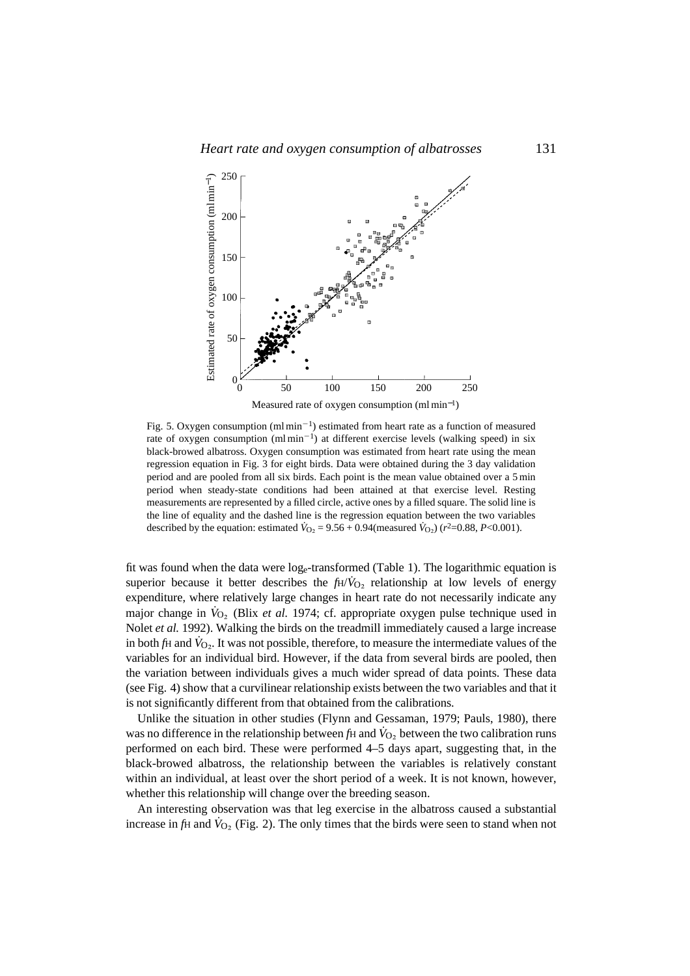

Fig. 5. Oxygen consumption (ml min<sup>-1</sup>) estimated from heart rate as a function of measured rate of oxygen consumption (ml min<sup>-1</sup>) at different exercise levels (walking speed) in six black-browed albatross. Oxygen consumption was estimated from heart rate using the mean regression equation in Fig. 3 for eight birds. Data were obtained during the 3 day validation period and are pooled from all six birds. Each point is the mean value obtained over a 5 min period when steady-state conditions had been attained at that exercise level. Resting measurements are represented by a filled circle, active ones by a filled square. The solid line is the line of equality and the dashed line is the regression equation between the two variables described by the equation: estimated  $\dot{V}_{O_2} = 9.56 + 0.94$  (measured  $\dot{V}_{O_2}$ ) ( $r^2 = 0.88$ ,  $P < 0.001$ ).

fit was found when the data were  $log_e$ -transformed (Table 1). The logarithmic equation is superior because it better describes the  $fH/V_{O<sub>2</sub>}$  relationship at low levels of energy expenditure, where relatively large changes in heart rate do not necessarily indicate any major change in  $\dot{V}_{O_2}$  (Blix *et al.* 1974; cf. appropriate oxygen pulse technique used in Nolet *et al.* 1992). Walking the birds on the treadmill immediately caused a large increase in both  $f_H$  and  $V_O$ . It was not possible, therefore, to measure the intermediate values of the variables for an individual bird. However, if the data from several birds are pooled, then the variation between individuals gives a much wider spread of data points. These data (see Fig. 4) show that a curvilinear relationship exists between the two variables and that it is not significantly different from that obtained from the calibrations.

Unlike the situation in other studies (Flynn and Gessaman, 1979; Pauls, 1980), there was no difference in the relationship between *f*H and  $\dot{V}_{O_2}$  between the two calibration runs performed on each bird. These were performed 4–5 days apart, suggesting that, in the black-browed albatross, the relationship between the variables is relatively constant within an individual, at least over the short period of a week. It is not known, however, whether this relationship will change over the breeding season.

An interesting observation was that leg exercise in the albatross caused a substantial increase in  $f$ H and  $\dot{V}_{O_2}$  (Fig. 2). The only times that the birds were seen to stand when not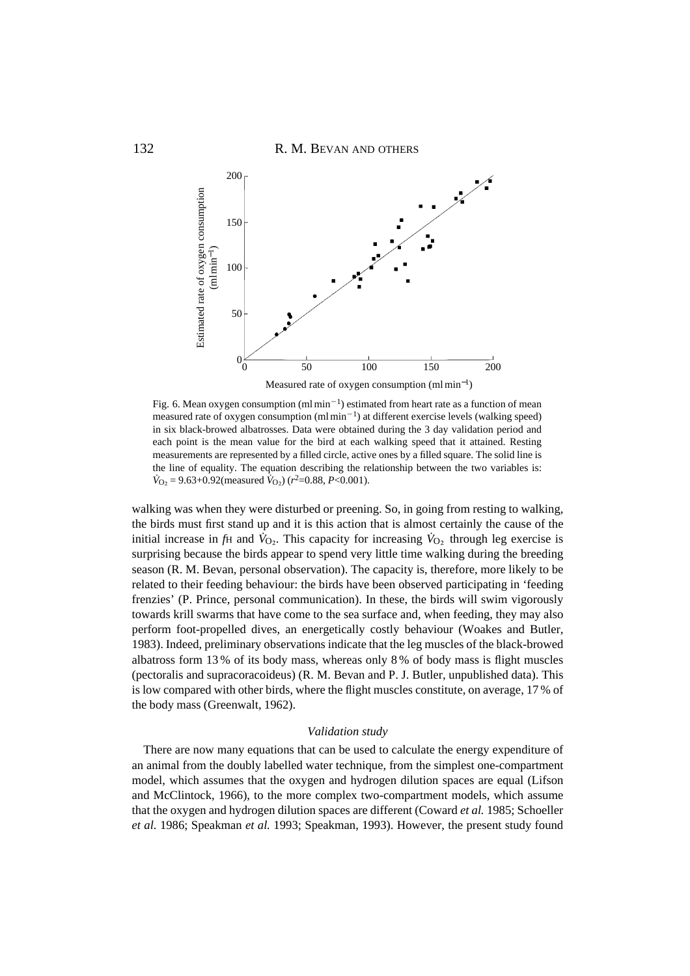

Fig. 6. Mean oxygen consumption (ml min<sup>-1</sup>) estimated from heart rate as a function of mean measured rate of oxygen consumption  $(ml \min^{-1})$  at different exercise levels (walking speed) in six black-browed albatrosses. Data were obtained during the 3 day validation period and each point is the mean value for the bird at each walking speed that it attained. Resting measurements are represented by a filled circle, active ones by a filled square. The solid line is the line of equality. The equation describing the relationship between the two variables is:  $\dot{V}_{\text{O}_2}$  = 9.63+0.92(measured  $\dot{V}_{\text{O}_2}$ ) ( $r^2$ =0.88, *P*<0.001).

walking was when they were disturbed or preening. So, in going from resting to walking, the birds must first stand up and it is this action that is almost certainly the cause of the initial increase in *fH* and  $\dot{V}_{\text{O}}$ . This capacity for increasing  $\dot{V}_{\text{O}}$ , through leg exercise is surprising because the birds appear to spend very little time walking during the breeding season (R. M. Bevan, personal observation). The capacity is, therefore, more likely to be related to their feeding behaviour: the birds have been observed participating in 'feeding frenzies' (P. Prince, personal communication). In these, the birds will swim vigorously towards krill swarms that have come to the sea surface and, when feeding, they may also perform foot-propelled dives, an energetically costly behaviour (Woakes and Butler, 1983). Indeed, preliminary observations indicate that the leg muscles of the black-browed albatross form 13 % of its body mass, whereas only 8 % of body mass is flight muscles (pectoralis and supracoracoideus) (R. M. Bevan and P. J. Butler, unpublished data). This is low compared with other birds, where the flight muscles constitute, on average, 17 % of the body mass (Greenwalt, 1962).

#### *Validation study*

There are now many equations that can be used to calculate the energy expenditure of an animal from the doubly labelled water technique, from the simplest one-compartment model, which assumes that the oxygen and hydrogen dilution spaces are equal (Lifson and McClintock, 1966), to the more complex two-compartment models, which assume that the oxygen and hydrogen dilution spaces are different (Coward *et al.* 1985; Schoeller *et al.* 1986; Speakman *et al.* 1993; Speakman, 1993). However, the present study found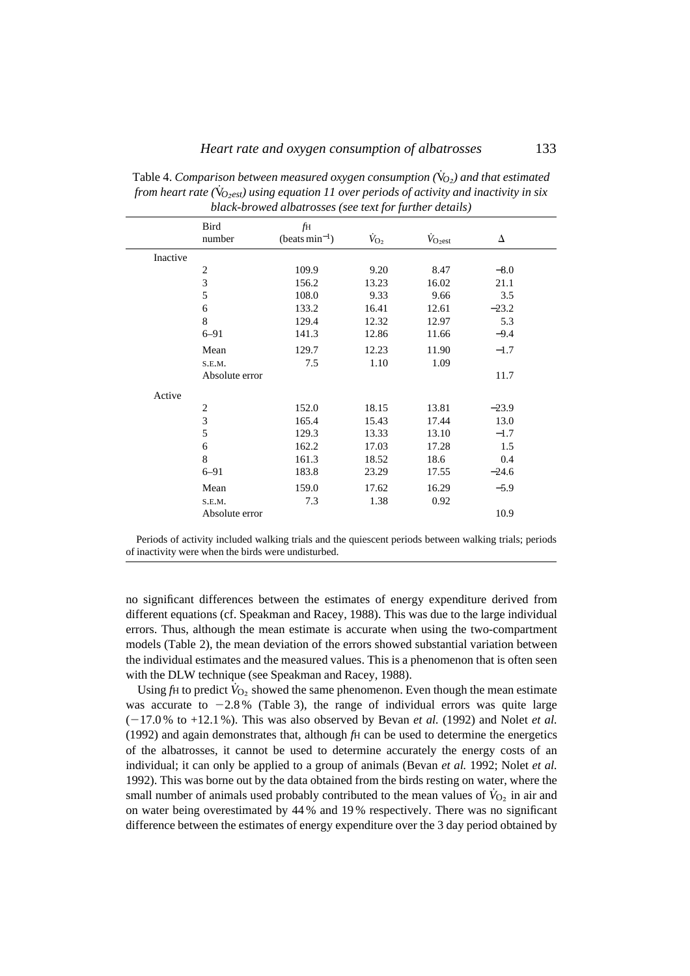|          | Bird<br>number | fH<br>$(beats min-1)$ | $\dot{V}_{\rm O_2}$ | $\dot{V}_{O_2est}$ | Δ       |  |
|----------|----------------|-----------------------|---------------------|--------------------|---------|--|
| Inactive |                |                       |                     |                    |         |  |
|          | $\overline{2}$ | 109.9                 | 9.20                | 8.47               | $-8.0$  |  |
|          | 3              | 156.2                 | 13.23               | 16.02              | 21.1    |  |
|          | 5              | 108.0                 | 9.33                | 9.66               | 3.5     |  |
|          | 6              | 133.2                 | 16.41               | 12.61              | $-23.2$ |  |
|          | 8              | 129.4                 | 12.32               | 12.97              | 5.3     |  |
|          | $6 - 91$       | 141.3                 | 12.86               | 11.66              | $-9.4$  |  |
|          | Mean           | 129.7                 | 12.23               | 11.90              | $-1.7$  |  |
|          | S.E.M.         | 7.5                   | 1.10                | 1.09               |         |  |
|          | Absolute error |                       |                     |                    | 11.7    |  |
| Active   |                |                       |                     |                    |         |  |
|          | $\overline{2}$ | 152.0                 | 18.15               | 13.81              | $-23.9$ |  |
|          | 3              | 165.4                 | 15.43               | 17.44              | 13.0    |  |
|          | 5              | 129.3                 | 13.33               | 13.10              | $-1.7$  |  |
|          | 6              | 162.2                 | 17.03               | 17.28              | 1.5     |  |
|          | 8              | 161.3                 | 18.52               | 18.6               | 0.4     |  |
|          | $6 - 91$       | 183.8                 | 23.29               | 17.55              | $-24.6$ |  |
|          | Mean           | 159.0                 | 17.62               | 16.29              | $-5.9$  |  |
|          | S.E.M.         | 7.3                   | 1.38                | 0.92               |         |  |
|          | Absolute error |                       |                     |                    | 10.9    |  |

Table 4. *Comparison between measured oxygen consumption* ( $\dot{V}_{O<sub>z</sub>}$ ) and that estimated *from heart rate (* $\rm{\dot{V}_{O_2est}}$ *) using equation 11 over periods of activity and inactivity in six black-browed albatrosses (see text for further details)*

Periods of activity included walking trials and the quiescent periods between walking trials; periods of inactivity were when the birds were undisturbed.

no significant differences between the estimates of energy expenditure derived from different equations (cf. Speakman and Racey, 1988). This was due to the large individual errors. Thus, although the mean estimate is accurate when using the two-compartment models (Table 2), the mean deviation of the errors showed substantial variation between the individual estimates and the measured values. This is a phenomenon that is often seen with the DLW technique (see Speakman and Racey, 1988).

Using  $f$ H to predict  $\dot{V}_{O_2}$  showed the same phenomenon. Even though the mean estimate was accurate to  $-2.8\%$  (Table 3), the range of individual errors was quite large  $(-17.0\%$  to  $+12.1\%$ ). This was also observed by Bevan *et al.* (1992) and Nolet *et al.* (1992) and again demonstrates that, although *f*H can be used to determine the energetics of the albatrosses, it cannot be used to determine accurately the energy costs of an individual; it can only be applied to a group of animals (Bevan *et al.* 1992; Nolet *et al.* 1992). This was borne out by the data obtained from the birds resting on water, where the small number of animals used probably contributed to the mean values of  $\dot{V}_{O_2}$  in air and on water being overestimated by 44 % and 19 % respectively. There was no significant difference between the estimates of energy expenditure over the 3 day period obtained by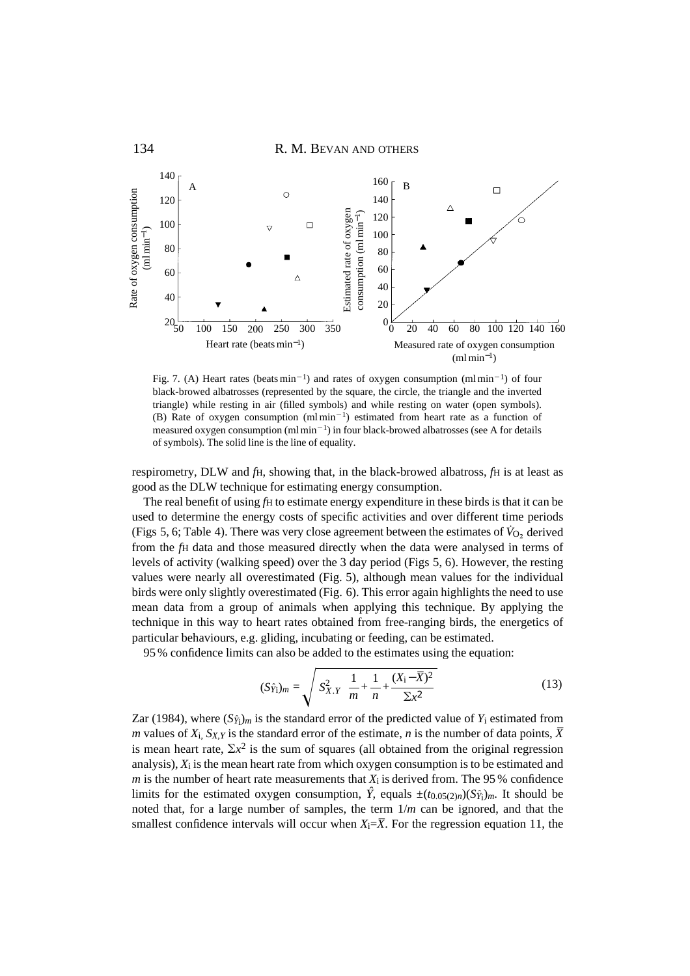

Fig. 7. (A) Heart rates (beats  $min^{-1}$ ) and rates of oxygen consumption (ml min<sup>-1</sup>) of four black-browed albatrosses (represented by the square, the circle, the triangle and the inverted triangle) while resting in air (filled symbols) and while resting on water (open symbols). (B) Rate of oxygen consumption  $(ml \text{ min}^{-1})$  estimated from heart rate as a function of measured oxygen consumption  $(ml \min^{-1})$  in four black-browed albatrosses (see A for details

respirometry, DLW and *f*H, showing that, in the black-browed albatross, *f*H is at least as good as the DLW technique for estimating energy consumption.

The real benefit of using *fH* to estimate energy expenditure in these birds is that it can be used to determine the energy costs of specific activities and over different time periods (Figs 5, 6; Table 4). There was very close agreement between the estimates of  $V_{\text{O}_2}$  derived from the *f*H data and those measured directly when the data were analysed in terms of levels of activity (walking speed) over the 3 day period (Figs 5, 6). However, the resting values were nearly all overestimated (Fig. 5), although mean values for the individual birds were only slightly overestimated (Fig. 6). This error again highlights the need to use mean data from a group of animals when applying this technique. By applying the technique in this way to heart rates obtained from free-ranging birds, the energetics of particular behaviours, e.g. gliding, incubating or feeding, can be estimated.

95 % confidence limits can also be added to the estimates using the equation:

$$
(S\hat{y}_i)_m = \sqrt{S_{X,Y}^2 \left[ \frac{1}{m} + \frac{1}{n} + \frac{(X_i - \overline{X})^2}{\Sigma x^2} \right]}
$$
(13)

Zar (1984), where  $(S\hat{y}_i)_m$  is the standard error of the predicted value of  $Y_i$  estimated from *m* values of  $X_i$ ,  $S_{X,Y}$  is the standard error of the estimate, *n* is the number of data points,  $\overline{X}$ is mean heart rate,  $\Sigma x^2$  is the sum of squares (all obtained from the original regression analysis), *X*i is the mean heart rate from which oxygen consumption is to be estimated and *m* is the number of heart rate measurements that  $X_i$  is derived from. The 95 % confidence limits for the estimated oxygen consumption,  $\hat{Y}$ , equals  $\pm (t_{0.05(2)n})(S_{\hat{Y}i})_m$ . It should be noted that, for a large number of samples, the term 1/*m* can be ignored, and that the smallest confidence intervals will occur when  $X_i = \overline{X}$ . For the regression equation 11, the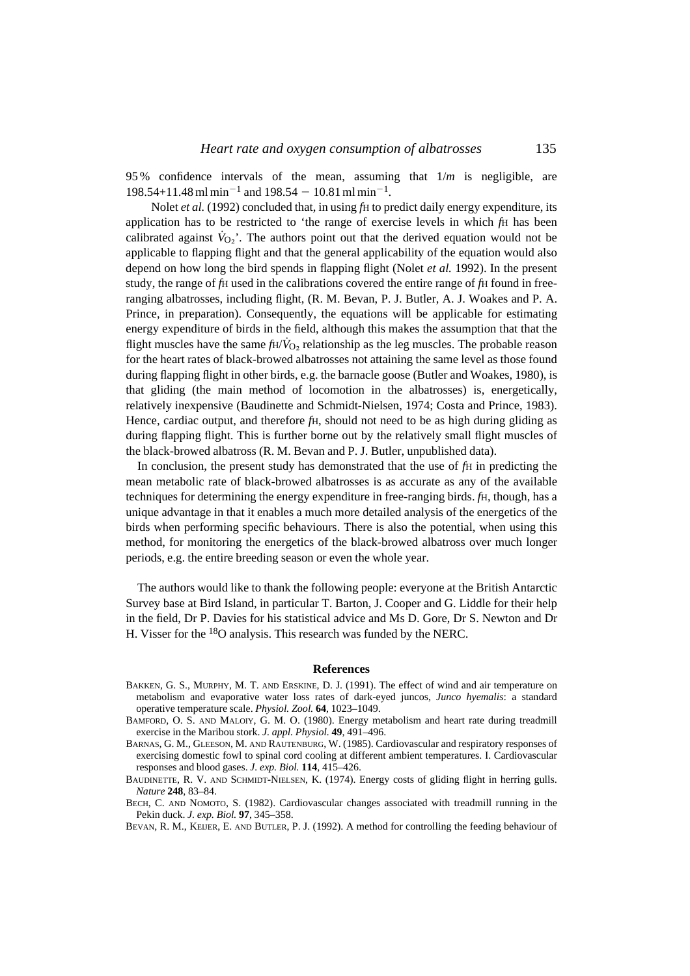95 % confidence intervals of the mean, assuming that 1/*m* is negligible, are  $198.54+11.48$  ml min<sup>-1</sup> and  $198.54 - 10.81$  ml min<sup>-1</sup>.

Nolet *et al.* (1992) concluded that, in using *fH* to predict daily energy expenditure, its application has to be restricted to 'the range of exercise levels in which *f*H has been calibrated against  $V_{Q_2}$ <sup>'</sup>. The authors point out that the derived equation would not be applicable to flapping flight and that the general applicability of the equation would also depend on how long the bird spends in flapping flight (Nolet *et al.* 1992). In the present study, the range of *f*H used in the calibrations covered the entire range of *f*H found in freeranging albatrosses, including flight, (R. M. Bevan, P. J. Butler, A. J. Woakes and P. A. Prince, in preparation). Consequently, the equations will be applicable for estimating energy expenditure of birds in the field, although this makes the assumption that that the flight muscles have the same  $fH/V_O$ , relationship as the leg muscles. The probable reason for the heart rates of black-browed albatrosses not attaining the same level as those found during flapping flight in other birds, e.g. the barnacle goose (Butler and Woakes, 1980), is that gliding (the main method of locomotion in the albatrosses) is, energetically, relatively inexpensive (Baudinette and Schmidt-Nielsen, 1974; Costa and Prince, 1983). Hence, cardiac output, and therefore *f*H, should not need to be as high during gliding as during flapping flight. This is further borne out by the relatively small flight muscles of the black-browed albatross (R. M. Bevan and P. J. Butler, unpublished data).

In conclusion, the present study has demonstrated that the use of *fH* in predicting the mean metabolic rate of black-browed albatrosses is as accurate as any of the available techniques for determining the energy expenditure in free-ranging birds.  $f<sub>H</sub>$ , though, has a unique advantage in that it enables a much more detailed analysis of the energetics of the birds when performing specific behaviours. There is also the potential, when using this method, for monitoring the energetics of the black-browed albatross over much longer periods, e.g. the entire breeding season or even the whole year.

The authors would like to thank the following people: everyone at the British Antarctic Survey base at Bird Island, in particular T. Barton, J. Cooper and G. Liddle for their help in the field, Dr P. Davies for his statistical advice and Ms D. Gore, Dr S. Newton and Dr H. Visser for the 18O analysis. This research was funded by the NERC.

#### **References**

- BAKKEN, G. S., MURPHY, M. T. AND ERSKINE, D. J. (1991). The effect of wind and air temperature on metabolism and evaporative water loss rates of dark-eyed juncos, *Junco hyemalis*: a standard operative temperature scale. *Physiol. Zool.* **64**, 1023–1049.
- BAMFORD, O. S. AND MALOIY, G. M. O. (1980). Energy metabolism and heart rate during treadmill exercise in the Maribou stork. *J. appl. Physiol.* **49**, 491–496.
- BARNAS, G. M., GLEESON, M. AND RAUTENBURG, W. (1985). Cardiovascular and respiratory responses of exercising domestic fowl to spinal cord cooling at different ambient temperatures. I. Cardiovascular responses and blood gases. *J. exp. Biol.* **114**, 415–426.
- BAUDINETTE, R. V. AND SCHMIDT-NIELSEN, K. (1974). Energy costs of gliding flight in herring gulls. *Nature* **248**, 83–84.
- BECH, C. AND NOMOTO, S. (1982). Cardiovascular changes associated with treadmill running in the Pekin duck. *J. exp. Biol.* **97**, 345–358.
- BEVAN, R. M., KEIJER, E. AND BUTLER, P. J. (1992). A method for controlling the feeding behaviour of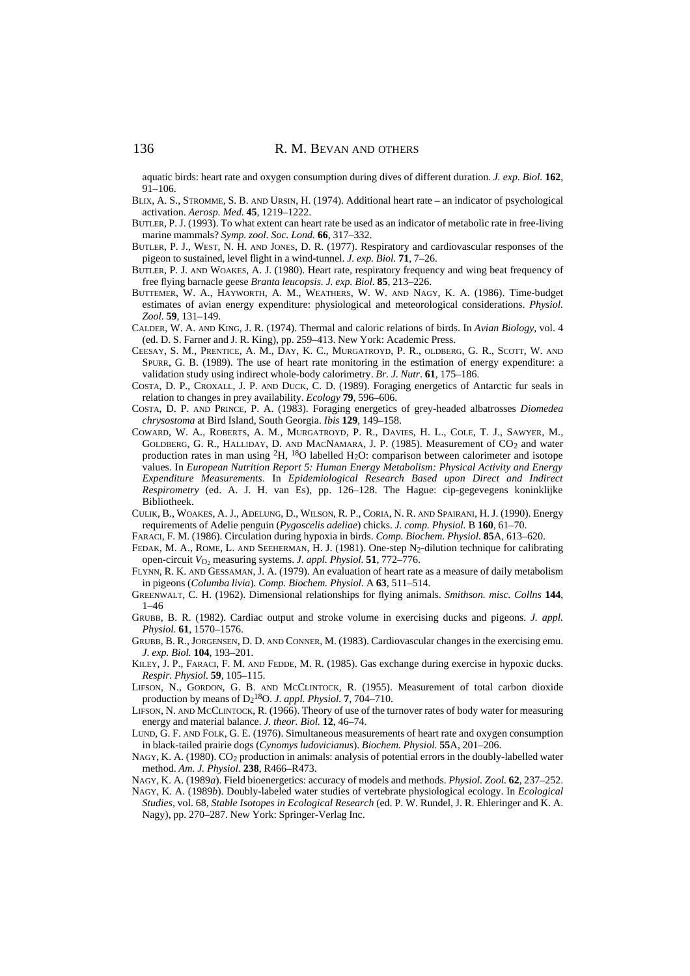aquatic birds: heart rate and oxygen consumption during dives of different duration. *J. exp. Biol.* **162**, 91–106.

- BLIX, A. S., STROMME, S. B. AND URSIN, H. (1974). Additional heart rate an indicator of psychological activation. *Aerosp. Med.* **45**, 1219–1222.
- BUTLER, P. J. (1993). To what extent can heart rate be used as an indicator of metabolic rate in free-living marine mammals? *Symp. zool. Soc. Lond.* **66**, 317–332.
- BUTLER, P. J., WEST, N. H. AND JONES, D. R. (1977). Respiratory and cardiovascular responses of the pigeon to sustained, level flight in a wind-tunnel. *J. exp. Biol.* **71**, 7–26.
- BUTLER, P. J. AND WOAKES, A. J. (1980). Heart rate, respiratory frequency and wing beat frequency of free flying barnacle geese *Branta leucopsis. J. exp. Biol.* **85**, 213–226.
- BUTTEMER, W. A., HAYWORTH, A. M., WEATHERS, W. W. AND NAGY, K. A. (1986). Time-budget estimates of avian energy expenditure: physiological and meteorological considerations. *Physiol. Zool.* **59**, 131–149.
- CALDER, W. A. AND KING, J. R. (1974). Thermal and caloric relations of birds. In *Avian Biology*, vol. 4 (ed. D. S. Farner and J. R. King), pp. 259–413. New York: Academic Press.
- CEESAY, S. M., PRENTICE, A. M., DAY, K. C., MURGATROYD, P. R., OLDBERG, G. R., SCOTT, W. AND SPURR, G. B. (1989). The use of heart rate monitoring in the estimation of energy expenditure: a validation study using indirect whole-body calorimetry. *Br. J. Nutr*. **61**, 175–186.
- COSTA, D. P., CROXALL, J. P. AND DUCK, C. D. (1989). Foraging energetics of Antarctic fur seals in relation to changes in prey availability. *Ecology* **79**, 596–606.
- COSTA, D. P. AND PRINCE, P. A. (1983). Foraging energetics of grey-headed albatrosses *Diomedea chrysostoma* at Bird Island, South Georgia. *Ibis* **129**, 149–158.
- COWARD, W. A., ROBERTS, A. M., MURGATROYD, P. R., DAVIES, H. L., COLE, T. J., SAWYER, M., GOLDBERG, G. R., HALLIDAY, D. AND MACNAMARA, J. P. (1985). Measurement of  $CO<sub>2</sub>$  and water production rates in man using  ${}^{2}H$ ,  ${}^{18}O$  labelled H<sub>2</sub>O: comparison between calorimeter and isotope values. In *European Nutrition Report 5: Human Energy Metabolism: Physical Activity and Energy Expenditure Measurements.* In *Epidemiological Research Based upon Direct and Indirect Respirometry* (ed. A. J. H. van Es), pp. 126–128. The Hague: cip-gegevegens koninklijke Bibliotheek.
- CULIK, B., WOAKES, A. J., ADELUNG, D., WILSON, R. P., CORIA, N. R. AND SPAIRANI, H. J. (1990). Energy requirements of Adelie penguin (*Pygoscelis adeliae*) chicks. *J. comp. Physiol.* B **160**, 61–70.
- FARACI, F. M. (1986). Circulation during hypoxia in birds. *Comp. Biochem. Physiol.* **85**A, 613–620.
- FEDAK, M. A., ROME, L. AND SEEHERMAN, H. J. (1981). One-step N<sub>2</sub>-dilution technique for calibrating open-circuit *V*O∑ measuring systems. *J. appl. Physiol.* **51**, 772–776.
- FLYNN, R. K. AND GESSAMAN, J. A. (1979). An evaluation of heart rate as a measure of daily metabolism in pigeons (*Columba livia*)*. Comp. Biochem. Physiol.* A **63**, 511–514.
- GREENWALT, C. H. (1962). Dimensional relationships for flying animals. *Smithson. misc. Collns* **144**, 1–46
- GRUBB, B. R. (1982). Cardiac output and stroke volume in exercising ducks and pigeons. *J. appl. Physiol.* **61**, 1570–1576.
- GRUBB, B. R., JORGENSEN, D. D. AND CONNER, M. (1983). Cardiovascular changes in the exercising emu. *J. exp. Biol.* **104**, 193–201.
- KILEY, J. P., FARACI, F. M. AND FEDDE, M. R. (1985). Gas exchange during exercise in hypoxic ducks. *Respir. Physiol.* **59**, 105–115.
- LIFSON, N., GORDON, G. B. AND MCCLINTOCK, R. (1955). Measurement of total carbon dioxide production by means of D2 18O. *J. appl. Physiol.* **7**, 704–710.
- LIFSON, N. AND MCCLINTOCK, R. (1966). Theory of use of the turnover rates of body water for measuring energy and material balance. *J. theor. Biol.* **12**, 46–74.
- LUND, G. F. AND FOLK, G. E. (1976). Simultaneous measurements of heart rate and oxygen consumption in black-tailed prairie dogs (*Cynomys ludovicianus*). *Biochem. Physiol.* **55**A, 201–206.
- NAGY, K. A. (1980). CO2 production in animals: analysis of potential errors in the doubly-labelled water method. *Am. J. Physiol.* **238**, R466–R473.
- NAGY, K. A. (1989*a*). Field bioenergetics: accuracy of models and methods. *Physiol. Zool.* **62**, 237–252.
- NAGY, K. A. (1989*b*). Doubly-labeled water studies of vertebrate physiological ecology. In *Ecological Studies*, vol. 68, *Stable Isotopes in Ecological Research* (ed. P. W. Rundel, J. R. Ehleringer and K. A. Nagy), pp. 270–287. New York: Springer-Verlag Inc.